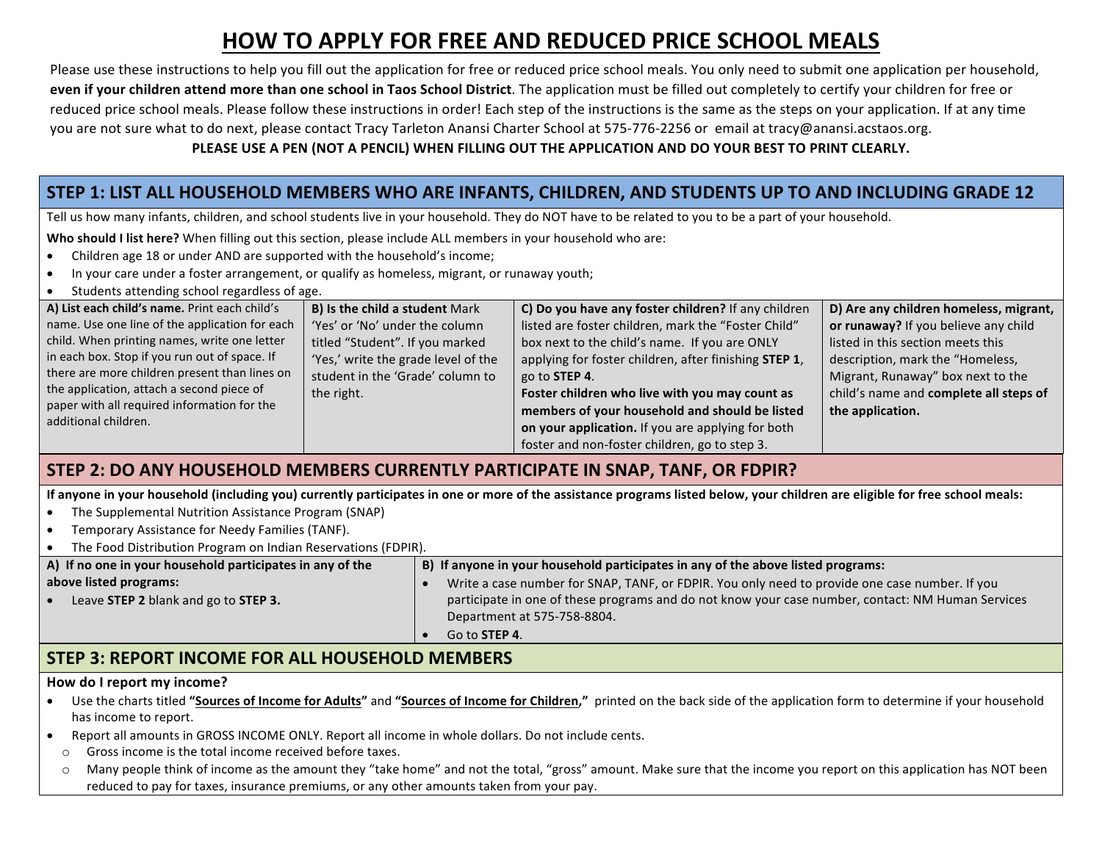# **HOW TO APPLY FOR FREE AND REDUCED PRICE SCHOOL MEALS**

Please use these instructions to help you fill out the application for free or reduced price school meals. You only need to submit one application per household, even if your children attend more than one school in Taos School District. The application must be filled out completely to certify your children for free or reduced price school meals. Please follow these instructions in order! Each step of the instructions is the same as the steps on your application. If at any time you are not sure what to do next, please contact Tracy Tarleton Anansi Charter School at 575-776-2256 or email at tracy@anansi.acstaos.org.

#### PLEASE USE A PEN (NOT A PENCIL) WHEN FILLING OUT THE APPLICATION AND DO YOUR BEST TO PRINT CLEARLY.

# STEP 1: LIST ALL HOUSEHOLD MEMBERS WHO ARE INFANTS, CHILDREN, AND STUDENTS UP TO AND INCLUDING GRADE 12

Tell us how many infants, children, and school students live in your household. They do NOT have to be related to you to be a part of your household.

**Who should I list here?** When filling out this section, please include ALL members in your household who are:

- Children age 18 or under AND are supported with the household's income;
- In your care under a foster arrangement, or qualify as homeless, migrant, or runaway youth;
- Students attending school regardless of age.

| A) List each child's name. Print each child's  | <b>B) Is the child a student Mark</b> | C) Do you have any foster children? If any children           | D) Are any children homeless, migrant, |
|------------------------------------------------|---------------------------------------|---------------------------------------------------------------|----------------------------------------|
| name. Use one line of the application for each | 'Yes' or 'No' under the column        | listed are foster children, mark the "Foster Child"           | or runaway? If you believe any child   |
| child. When printing names, write one letter   | titled "Student". If you marked       | box next to the child's name. If you are ONLY                 | listed in this section meets this      |
| in each box. Stop if you run out of space. If  | 'Yes,' write the grade level of the   | applying for foster children, after finishing <b>STEP 1</b> , | description, mark the "Homeless,       |
| there are more children present than lines on  | student in the 'Grade' column to      | go to <b>STEP 4</b> .                                         | Migrant, Runaway" box next to the      |
| the application, attach a second piece of      | the right.                            | Foster children who live with you may count as                | child's name and complete all steps of |
| paper with all required information for the    |                                       | members of your household and should be listed                | the application.                       |
| additional children.                           |                                       | on your application. If you are applying for both             |                                        |
|                                                |                                       | foster and non-foster children, go to step 3.                 |                                        |

### **STEP 2: DO ANY HOUSEHOLD MEMBERS CURRENTLY PARTICIPATE IN SNAP, TANF, OR FDPIR?**

If anyone in your household (including you) currently participates in one or more of the assistance programs listed below, your children are eligible for free school meals:

- The Supplemental Nutrition Assistance Program (SNAP)
- Temporary Assistance for Needy Families (TANF).
- The Food Distribution Program on Indian Reservations (FDPIR).

| A) If no one in your household participates in any of the | B) If anyone in your household participates in any of the above listed programs:                  |  |  |
|-----------------------------------------------------------|---------------------------------------------------------------------------------------------------|--|--|
| above listed programs:                                    | Write a case number for SNAP, TANF, or FDPIR. You only need to provide one case number. If you    |  |  |
| Leave STEP 2 blank and go to STEP 3.                      | participate in one of these programs and do not know your case number, contact: NM Human Services |  |  |
|                                                           | Department at 575-758-8804.                                                                       |  |  |
|                                                           | Go to <b>STEP 4</b> .                                                                             |  |  |

# **STEP 3: REPORT INCOME FOR ALL HOUSEHOLD MEMBERS**

#### How do I report my income?

- Use the charts titled "Sources of Income for Adults" and "Sources of Income for Children," printed on the back side of the application form to determine if your household has income to report.
- Report all amounts in GROSS INCOME ONLY. Report all income in whole dollars. Do not include cents.
- $\circ$  Gross income is the total income received before taxes.
- $\circ$  Many people think of income as the amount they "take home" and not the total, "gross" amount. Make sure that the income you report on this application has NOT been reduced to pay for taxes, insurance premiums, or any other amounts taken from your pay.